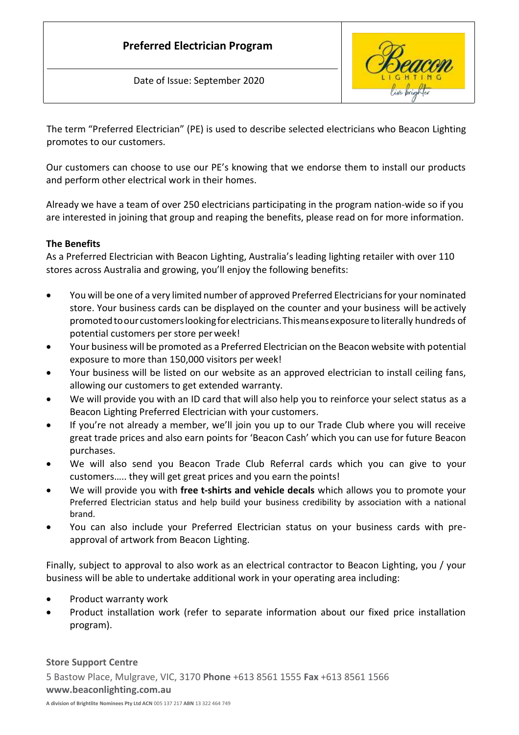# **Preferred Electrician Program**

Date of Issue: September 2020



The term "Preferred Electrician" (PE) is used to describe selected electricians who Beacon Lighting promotes to our customers.

Our customers can choose to use our PE's knowing that we endorse them to install our products and perform other electrical work in their homes.

Already we have a team of over 250 electricians participating in the program nation-wide so if you are interested in joining that group and reaping the benefits, please read on for more information.

### **The Benefits**

As a Preferred Electrician with Beacon Lighting, Australia's leading lighting retailer with over 110 stores across Australia and growing, you'll enjoy the following benefits:

- You will be one of a very limited number of approved Preferred Electricians for your nominated store. Your business cards can be displayed on the counter and your business will be actively promotedtoour customerslookingforelectricians.Thismeansexposure to literally hundreds of potential customers per store perweek!
- Your business will be promoted as a Preferred Electrician on the Beacon website with potential exposure to more than 150,000 visitors per week!
- Your business will be listed on our website as an approved electrician to install ceiling fans, allowing our customers to get extended warranty.
- We will provide you with an ID card that will also help you to reinforce your select status as a Beacon Lighting Preferred Electrician with your customers.
- If you're not already a member, we'll join you up to our Trade Club where you will receive great trade prices and also earn points for 'Beacon Cash' which you can use for future Beacon purchases.
- We will also send you Beacon Trade Club Referral cards which you can give to your customers….. they will get great prices and you earn the points!
- We will provide you with **free t-shirts and vehicle decals** which allows you to promote your Preferred Electrician status and help build your business credibility by association with a national brand.
- You can also include your Preferred Electrician status on your business cards with preapproval of artwork from Beacon Lighting.

Finally, subject to approval to also work as an electrical contractor to Beacon Lighting, you / your business will be able to undertake additional work in your operating area including:

- Product warranty work
- Product installation work (refer to separate information about our fixed price installation program).

**Store Support Centre** 5 Bastow Place, Mulgrave, VIC, 3170 **Phone** +613 8561 1555 **Fax** +613 8561 1566 **[www.beaconlighting.com.au](http://www.beaconlighting.com.au/)**

**A division of Brightlite Nominees Pty Ltd ACN** 005 137 217 **ABN** 13 322 464 749